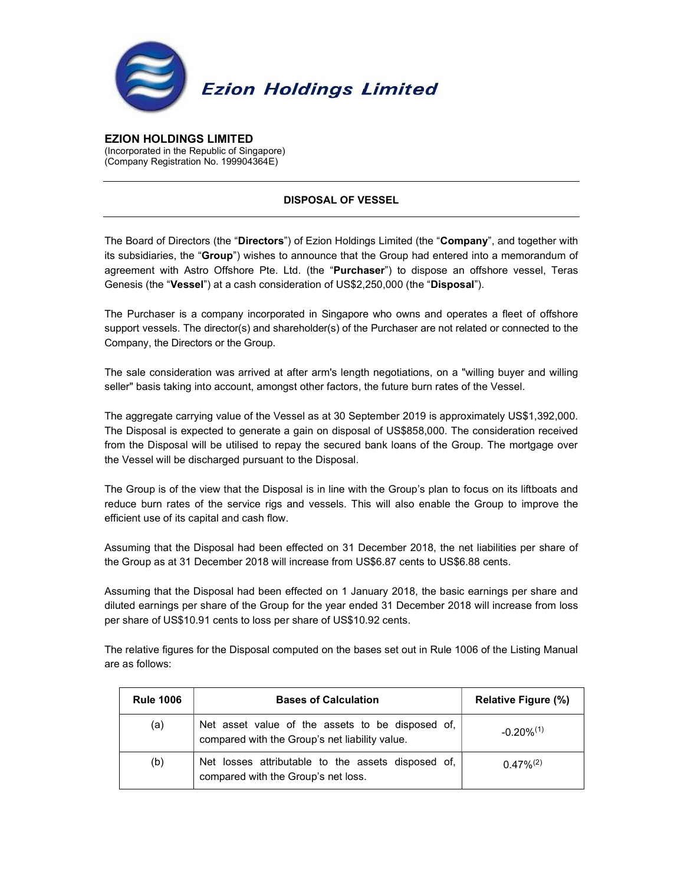

EZION HOLDINGS LIMITED (Incorporated in the Republic of Singapore) (Company Registration No. 199904364E)

## DISPOSAL OF VESSEL

The Board of Directors (the "Directors") of Ezion Holdings Limited (the "Company", and together with its subsidiaries, the "Group") wishes to announce that the Group had entered into a memorandum of agreement with Astro Offshore Pte. Ltd. (the "Purchaser") to dispose an offshore vessel, Teras Genesis (the "Vessel") at a cash consideration of US\$2,250,000 (the "Disposal").

The Purchaser is a company incorporated in Singapore who owns and operates a fleet of offshore support vessels. The director(s) and shareholder(s) of the Purchaser are not related or connected to the Company, the Directors or the Group.

The sale consideration was arrived at after arm's length negotiations, on a "willing buyer and willing seller" basis taking into account, amongst other factors, the future burn rates of the Vessel.

The aggregate carrying value of the Vessel as at 30 September 2019 is approximately US\$1,392,000. The Disposal is expected to generate a gain on disposal of US\$858,000. The consideration received from the Disposal will be utilised to repay the secured bank loans of the Group. The mortgage over the Vessel will be discharged pursuant to the Disposal.

The Group is of the view that the Disposal is in line with the Group's plan to focus on its liftboats and reduce burn rates of the service rigs and vessels. This will also enable the Group to improve the efficient use of its capital and cash flow.

Assuming that the Disposal had been effected on 31 December 2018, the net liabilities per share of the Group as at 31 December 2018 will increase from US\$6.87 cents to US\$6.88 cents.

Assuming that the Disposal had been effected on 1 January 2018, the basic earnings per share and diluted earnings per share of the Group for the year ended 31 December 2018 will increase from loss per share of US\$10.91 cents to loss per share of US\$10.92 cents.

The relative figures for the Disposal computed on the bases set out in Rule 1006 of the Listing Manual are as follows:

| <b>Rule 1006</b> | <b>Bases of Calculation</b>                                                                        | <b>Relative Figure (%)</b> |
|------------------|----------------------------------------------------------------------------------------------------|----------------------------|
| (a)              | Net asset value of the assets to be disposed of,<br>compared with the Group's net liability value. | $-0.20\%^{(1)}$            |
| (b)              | Net losses attributable to the assets disposed of,<br>compared with the Group's net loss.          | $0.47\%/2$                 |